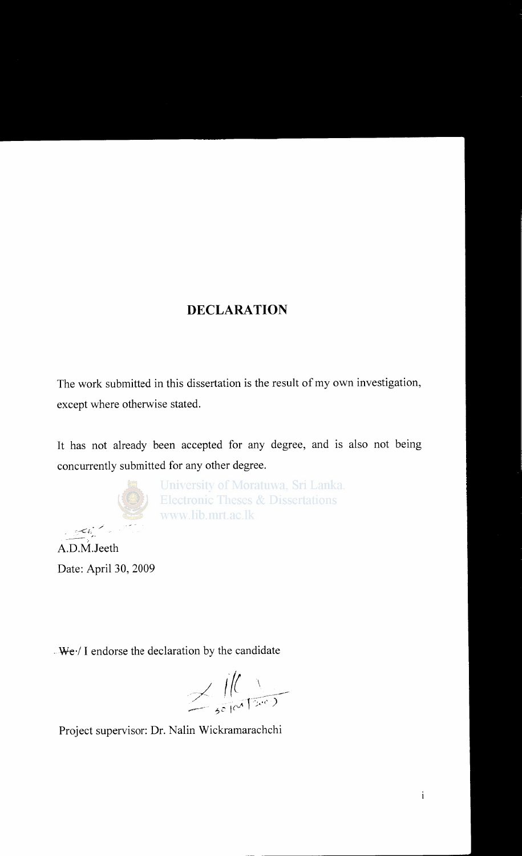### **DECLARATION**

The work submitted in this dissertation is the result of my own investigation, except where otherwise stated.

It has not already been accepted for any degree, and is also not being concurrently submitted for any other degree.



University of Moratuwa, Sri Lanka. **Electronic Theses & Dissertations** www.lib.mrt.ac.lk

*!*  A.D.M.Jeeth Date: April 30, 2009

J-

 $-We$ <sup> $\prime$ </sup> I endorse the declaration by the candidate

 $\prec$  /((  $\land$ ----- ~2 '('~" r-;:;-;~-y--

Project supervisor: Dr. Nalin Wickramarachchi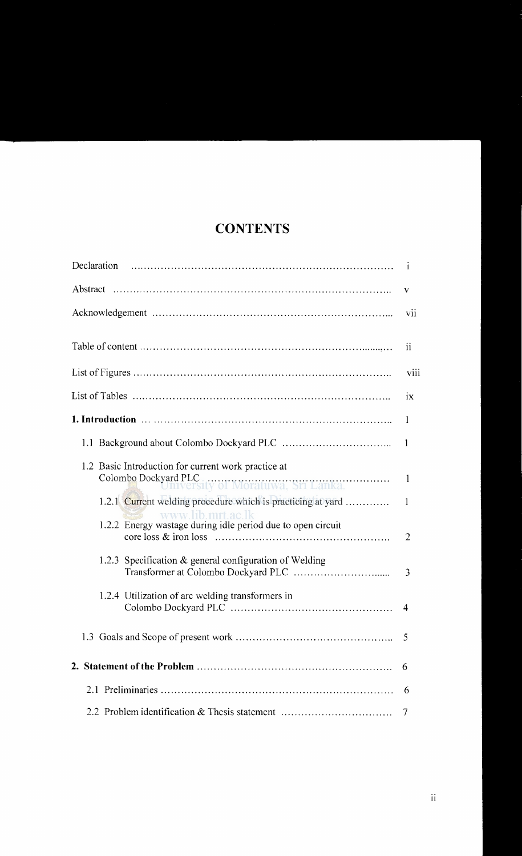## **CONTENTS**

| Declaration                                                                                                        |                 |  |
|--------------------------------------------------------------------------------------------------------------------|-----------------|--|
| V                                                                                                                  |                 |  |
|                                                                                                                    | vii             |  |
|                                                                                                                    | $\overline{11}$ |  |
|                                                                                                                    | viii            |  |
|                                                                                                                    | ix              |  |
|                                                                                                                    | 1               |  |
|                                                                                                                    | $\mathbf{1}$    |  |
| 1.2 Basic Introduction for current work practice at<br>Colombo Dockyard PLC.<br>University of Moratuwa, Sri Lanka. | -1              |  |
| 1.2.1 Current welding procedure which is practicing at yard<br>www.lib.mrt.ac.lk                                   | 1               |  |
| 1.2.2 Energy wastage during idle period due to open circuit                                                        | $\overline{2}$  |  |
| 1.2.3 Specification $\&$ general configuration of Welding                                                          | 3               |  |
| 1.2.4 Utilization of arc welding transformers in                                                                   | 4               |  |
|                                                                                                                    | 5               |  |
|                                                                                                                    | 6               |  |
|                                                                                                                    | 6               |  |
| 2.2 Problem identification & Thesis statement                                                                      | 7               |  |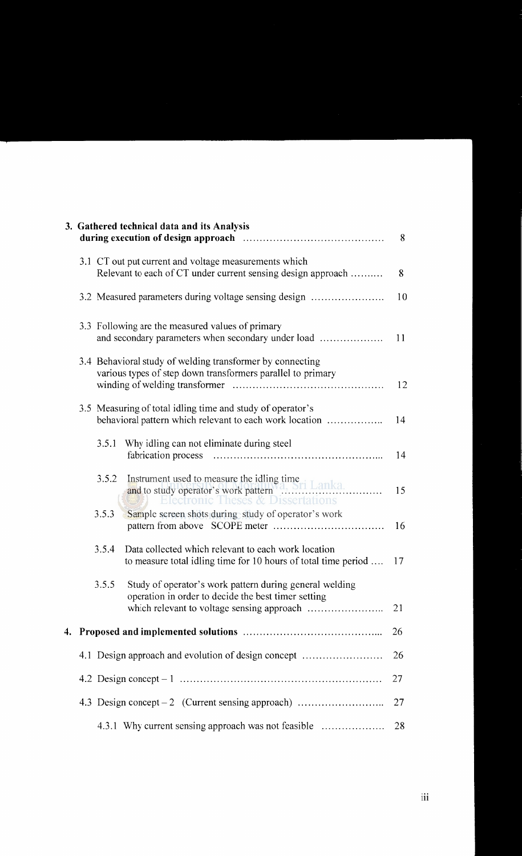|  | 3. Gathered technical data and its Analysis                                                                                      | 8  |
|--|----------------------------------------------------------------------------------------------------------------------------------|----|
|  | 3.1 CT out put current and voltage measurements which<br>Relevant to each of CT under current sensing design approach            | 8  |
|  | 3.2 Measured parameters during voltage sensing design                                                                            | 10 |
|  | 3.3 Following are the measured values of primary<br>and secondary parameters when secondary under load                           | 11 |
|  | 3.4 Behavioral study of welding transformer by connecting<br>various types of step down transformers parallel to primary         | 12 |
|  | 3.5 Measuring of total idling time and study of operator's<br>behavioral pattern which relevant to each work location            | 14 |
|  | Why idling can not eliminate during steel<br>3.5.1                                                                               | 14 |
|  | Instrument used to measure the idling time<br>and to study operator's work pattern<br>3.5.2<br>Electronic Theses & Dissertations | 15 |
|  | Sample screen shots during study of operator's work<br>3.5.3                                                                     | 16 |
|  | Data collected which relevant to each work location<br>3.5.4<br>to measure total idling time for 10 hours of total time period   | 17 |
|  | 3.5.5<br>Study of operator's work pattern during general welding<br>operation in order to decide the best timer setting          | 21 |
|  |                                                                                                                                  | 26 |
|  | 4.1 Design approach and evolution of design concept                                                                              | 26 |
|  |                                                                                                                                  | 27 |
|  | 4.3 Design concept – 2 (Current sensing approach)                                                                                | 27 |
|  | 4.3.1 Why current sensing approach was not feasible                                                                              | 28 |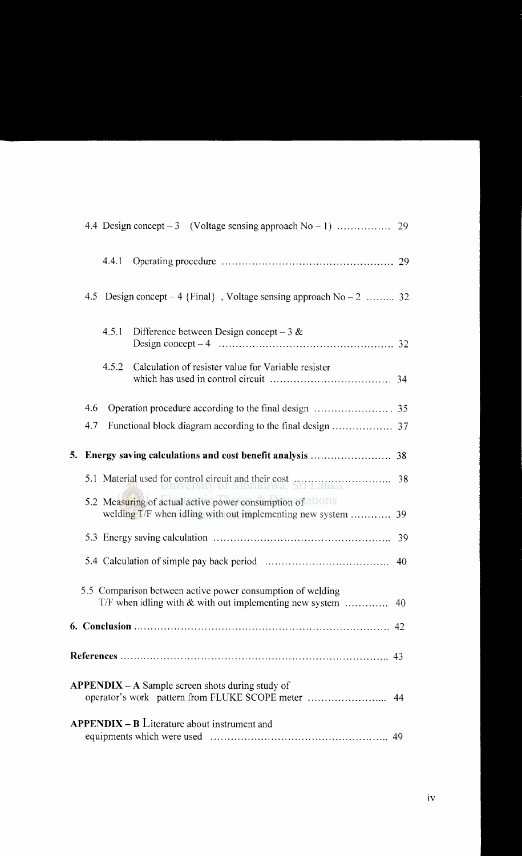|    |     | 4.4.1 |                                                                                                                     |    |
|----|-----|-------|---------------------------------------------------------------------------------------------------------------------|----|
|    |     |       | 4.5 Design concept – 4 {Final}, Voltage sensing approach $No-2$ 32                                                  |    |
|    |     | 4.5.1 | Difference between Design concept – $3 &$                                                                           |    |
|    |     | 4.5.2 | Calculation of resister value for Variable resister                                                                 |    |
|    | 4.6 |       |                                                                                                                     |    |
|    | 4.7 |       |                                                                                                                     |    |
| 5. |     |       |                                                                                                                     |    |
|    |     |       | 5.1 Material used for control circuit and their cost<br>38                                                          |    |
|    |     |       | 5.2 Measuring of actual active power consumption of<br>welding T/F when idling with out implementing new system  39 |    |
|    |     |       |                                                                                                                     | 39 |
|    |     |       |                                                                                                                     | 40 |
|    |     |       | 5.5 Comparison between active power consumption of welding                                                          |    |
|    |     |       |                                                                                                                     |    |
|    |     |       |                                                                                                                     |    |
|    |     |       | <b>APPENDIX</b> – A Sample screen shots during study of<br>operator's work pattern from FLUKE SCOPE meter  44       |    |
|    |     |       | <b>APPENDIX – B</b> Literature about instrument and                                                                 |    |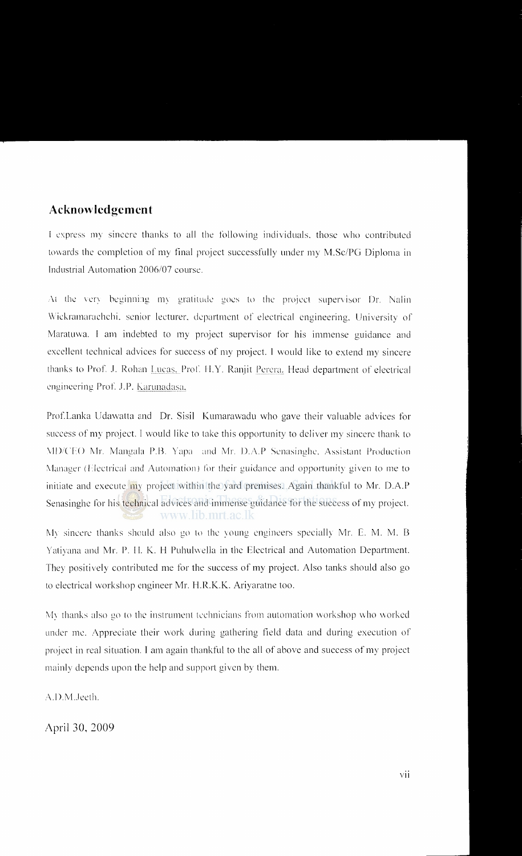#### **Acknowledgement**

I express my sincere thanks to all the following individuals, those who contributed towards the completion of my final project successfully under my M.Sc/PG Diploma in Industrial Automation 2006/07 course.

At the very beginning my gratitude goes to the project supervisor Dr. Nalin Wickramarachchi. senior lecturer, department of electrical engineering, University of Maratuwa. I am indebted to my project supervisor for his immense guidance and excellent technical advices for success of my project. I would like to extend my sincere thanks to Prof. J. Rohan Lucas, Prof. H.Y. Ranjit Perera. Head department of electrical engineering Prof. J.P. Karunadasa,

Prof.Lanka Udawatta and Dr. Sisil Kumarawadu who gave their valuable advices for success of my project. I would like to take this opportunity to deliver my sincere thank to MD/CEO Mr. Mangala P.B. Yapa and Mr. D.A.P Senasinghe, Assistant Production Manager (Electrical and Automation) for their guidance and opportunity given to me to initiate and execute my project within the yard premises. Again thankful to Mr. D.A.P Senasinghe for his technical advices and immense guidance for the success of my project. www.lib.mrt.ac.lk

My sincere thanks should also go to the young engineers specially Mr. E. M. M. B Yatiyana and Mr. P. H. K. H Puhulwella in the Electrical and Automation Department. They positively contributed me for the success of my project. Also tanks should also go to electrical workshop engineer Mr. H.R.K.K. Ariyaratne too.

My thanks also go to the instrument technicians from automation workshop who worked under me. Appreciate their vvork during gathering field data and during execution of project in real situation. I am again thankful to the all of above and success of my project mainly depends upon the help and support given by them.

A.D.M.Jeeth.

April 30, 2009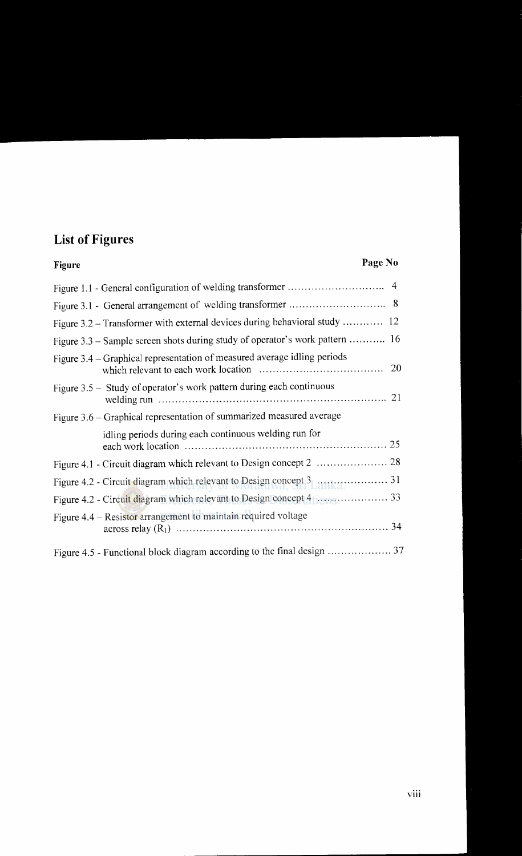# **List of Figures**

### **Figure Page No**

| Figure 3.2 – Transformer with external devices during behavioral study  12   |           |
|------------------------------------------------------------------------------|-----------|
| Figure 3.3 – Sample screen shots during study of operator's work pattern  16 |           |
| Figure 3.4 – Graphical representation of measured average idling periods     | <b>20</b> |
| Figure 3.5 – Study of operator's work pattern during each continuous         |           |
| Figure 3.6 – Graphical representation of summarized measured average         |           |
| idling periods during each continuous welding run for                        |           |
|                                                                              |           |
|                                                                              |           |
|                                                                              |           |
| Figure 4.4 – Resistor arrangement to maintain required voltage               |           |
|                                                                              |           |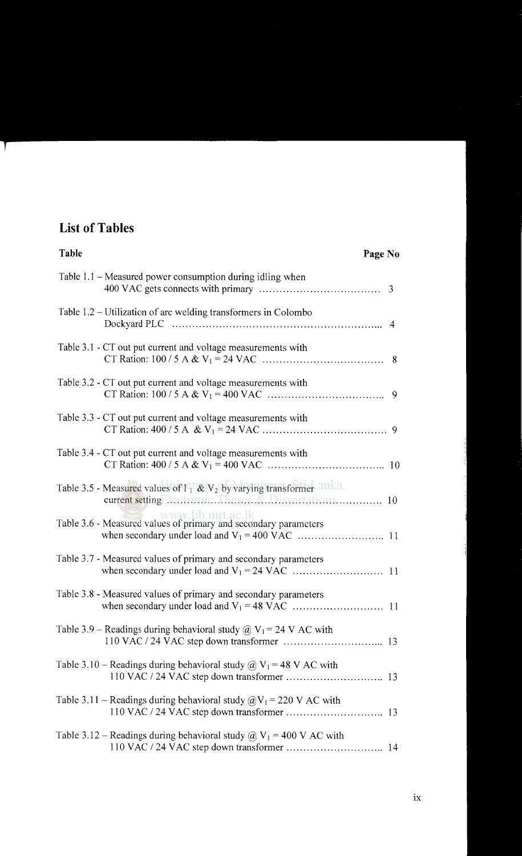## **List of Tables**

-11

| Table<br>Page No                                                                                                                  |  |
|-----------------------------------------------------------------------------------------------------------------------------------|--|
| Table 1.1 - Measured power consumption during idling when                                                                         |  |
| Table 1.2 – Utilization of arc welding transformers in Colombo                                                                    |  |
| Table 3.1 - CT out put current and voltage measurements with                                                                      |  |
| Table 3.2 - CT out put current and voltage measurements with                                                                      |  |
| Table 3.3 - CT out put current and voltage measurements with                                                                      |  |
| Table 3.4 - CT out put current and voltage measurements with                                                                      |  |
| Table 3.5 - Measured values of $I_1 \& V_2$ by varying transformer and a.<br>current setting lectronic. Theses & Dissertations 10 |  |
| www.lib.mrt.ac.lk<br>Table 3.6 - Measured values of primary and secondary parameters                                              |  |
| Table 3.7 - Measured values of primary and secondary parameters                                                                   |  |
| Table 3.8 - Measured values of primary and secondary parameters                                                                   |  |
| Table 3.9 – Readings during behavioral study $@V_1 = 24 V AC$ with                                                                |  |
| Table 3.10 – Readings during behavioral study $\omega$ , $V_1$ = 48 V AC with                                                     |  |
| Table 3.11 – Readings during behavioral study $\omega_{\text{V}_1}$ = 220 V AC with                                               |  |
| Table 3.12 – Readings during behavioral study $\hat{\omega}$ V <sub>1</sub> = 400 V AC with                                       |  |
|                                                                                                                                   |  |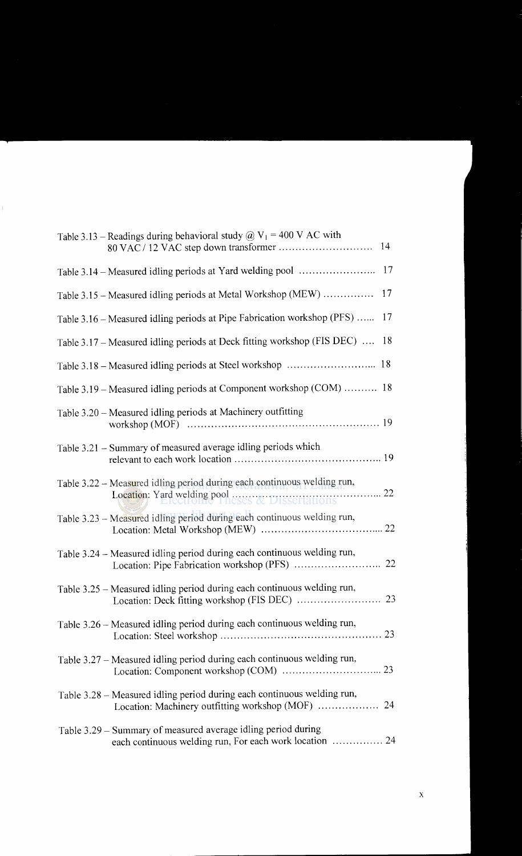| Table 3.13 – Readings during behavioral study @ $V_1$ = 400 V AC with                                                        |     |
|------------------------------------------------------------------------------------------------------------------------------|-----|
|                                                                                                                              |     |
| Table 3.15 - Measured idling periods at Metal Workshop (MEW)                                                                 | 17  |
| Table 3.16 – Measured idling periods at Pipe Fabrication workshop (PFS)                                                      | -17 |
| Table 3.17 – Measured idling periods at Deck fitting workshop (FIS DEC)                                                      | -18 |
|                                                                                                                              |     |
| Table 3.19 - Measured idling periods at Component workshop (COM)  18                                                         |     |
| Table 3.20 - Measured idling periods at Machinery outfitting                                                                 |     |
| Table 3.21 - Summary of measured average idling periods which                                                                |     |
| Table 3.22 – Measured idling period during each continuous welding run,                                                      |     |
| Table 3.23 - Measured idling period during each continuous welding run,                                                      |     |
| Table 3.24 – Measured idling period during each continuous welding run,                                                      |     |
| Table 3.25 – Measured idling period during each continuous welding run,                                                      |     |
| Table 3.26 – Measured idling period during each continuous welding run,                                                      |     |
| Table 3.27 – Measured idling period during each continuous welding run,                                                      |     |
| Table 3.28 - Measured idling period during each continuous welding run,<br>Location: Machinery outfitting workshop (MOF)  24 |     |
| Table 3.29 – Summary of measured average idling period during<br>each continuous welding run, For each work location  24     |     |